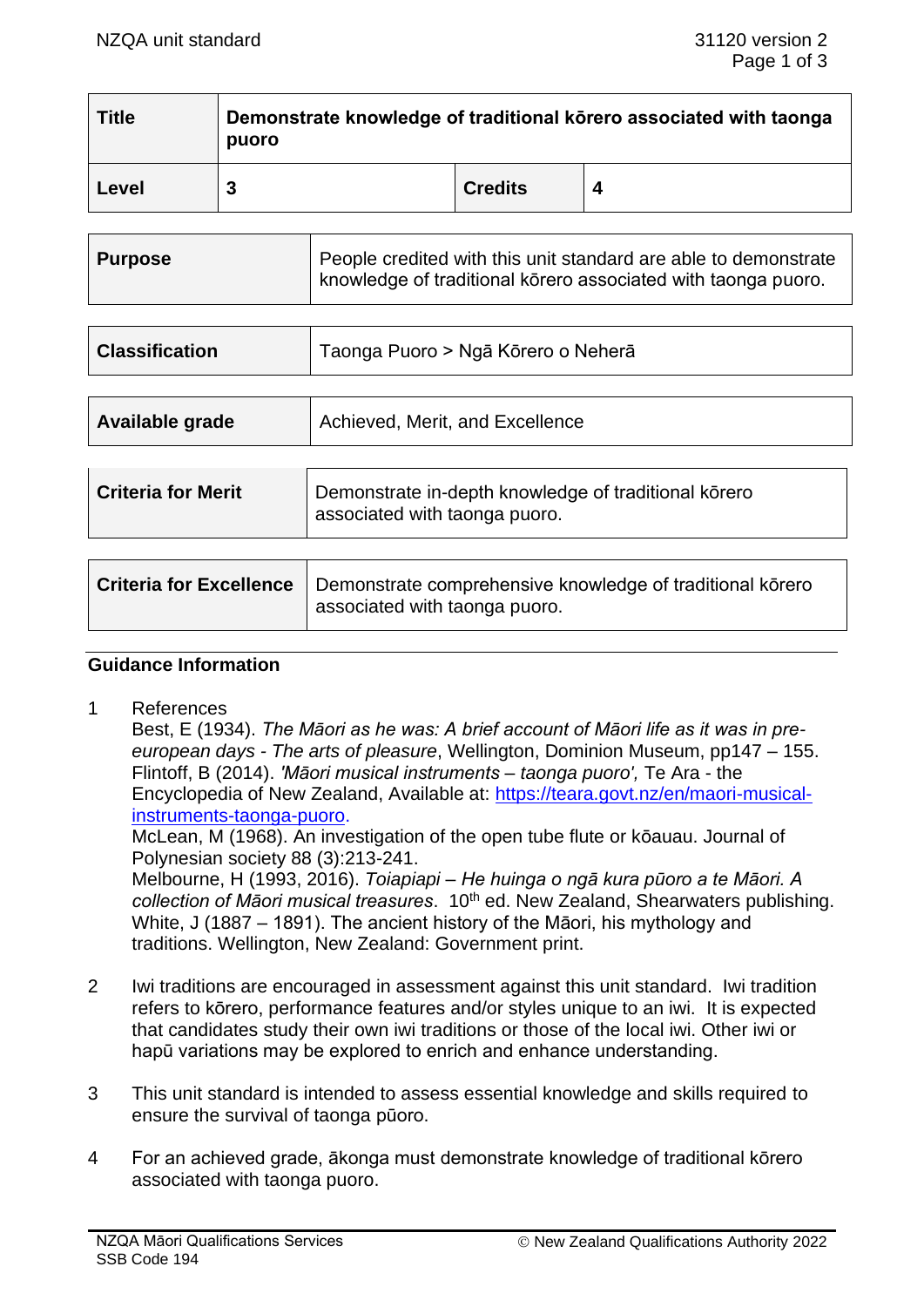| <b>Title</b> | Demonstrate knowledge of traditional korero associated with taonga<br>puoro |                |   |
|--------------|-----------------------------------------------------------------------------|----------------|---|
| Level        |                                                                             | <b>Credits</b> | 4 |

| <b>Purpose</b> | People credited with this unit standard are able to demonstrate<br>knowledge of traditional kōrero associated with taonga puoro. |
|----------------|----------------------------------------------------------------------------------------------------------------------------------|
|                |                                                                                                                                  |

| <b>Classification</b>          | Taonga Puoro > Ngā Kōrero o Neherā                                                         |  |
|--------------------------------|--------------------------------------------------------------------------------------------|--|
|                                |                                                                                            |  |
| Available grade                | Achieved, Merit, and Excellence                                                            |  |
|                                |                                                                                            |  |
| <b>Criteria for Merit</b>      | Demonstrate in-depth knowledge of traditional korero<br>associated with taonga puoro.      |  |
|                                |                                                                                            |  |
| <b>Criteria for Excellence</b> | Demonstrate comprehensive knowledge of traditional korero<br>associated with taonga puoro. |  |

#### **Guidance Information**

1 References

Best, E (1934). *The Māori as he was: A brief account of Māori life as it was in preeuropean days - The arts of pleasure*, Wellington, Dominion Museum, pp147 – 155. Flintoff, B (2014). *'Māori musical instruments – taonga puoro',* Te Ara - the Encyclopedia of New Zealand, Available at: [https://teara.govt.nz/en/maori-musical](https://teara.govt.nz/en/maori-musical-instruments-taonga-puoro)[instruments-taonga-puoro.](https://teara.govt.nz/en/maori-musical-instruments-taonga-puoro)

McLean, M (1968). An investigation of the open tube flute or kōauau. Journal of Polynesian society 88 (3):213-241.

Melbourne, H (1993, 2016). *Toiapiapi – He huinga o ngā kura pūoro a te Māori. A collection of Māori musical treasures*. 10th ed. New Zealand, Shearwaters publishing. White, J (1887 – 1891). The ancient history of the Māori, his mythology and traditions. Wellington, New Zealand: Government print.

- 2 Iwi traditions are encouraged in assessment against this unit standard. Iwi tradition refers to kōrero, performance features and/or styles unique to an iwi. It is expected that candidates study their own iwi traditions or those of the local iwi. Other iwi or hapū variations may be explored to enrich and enhance understanding.
- 3 This unit standard is intended to assess essential knowledge and skills required to ensure the survival of taonga pūoro.
- 4 For an achieved grade, ākonga must demonstrate knowledge of traditional kōrero associated with taonga puoro.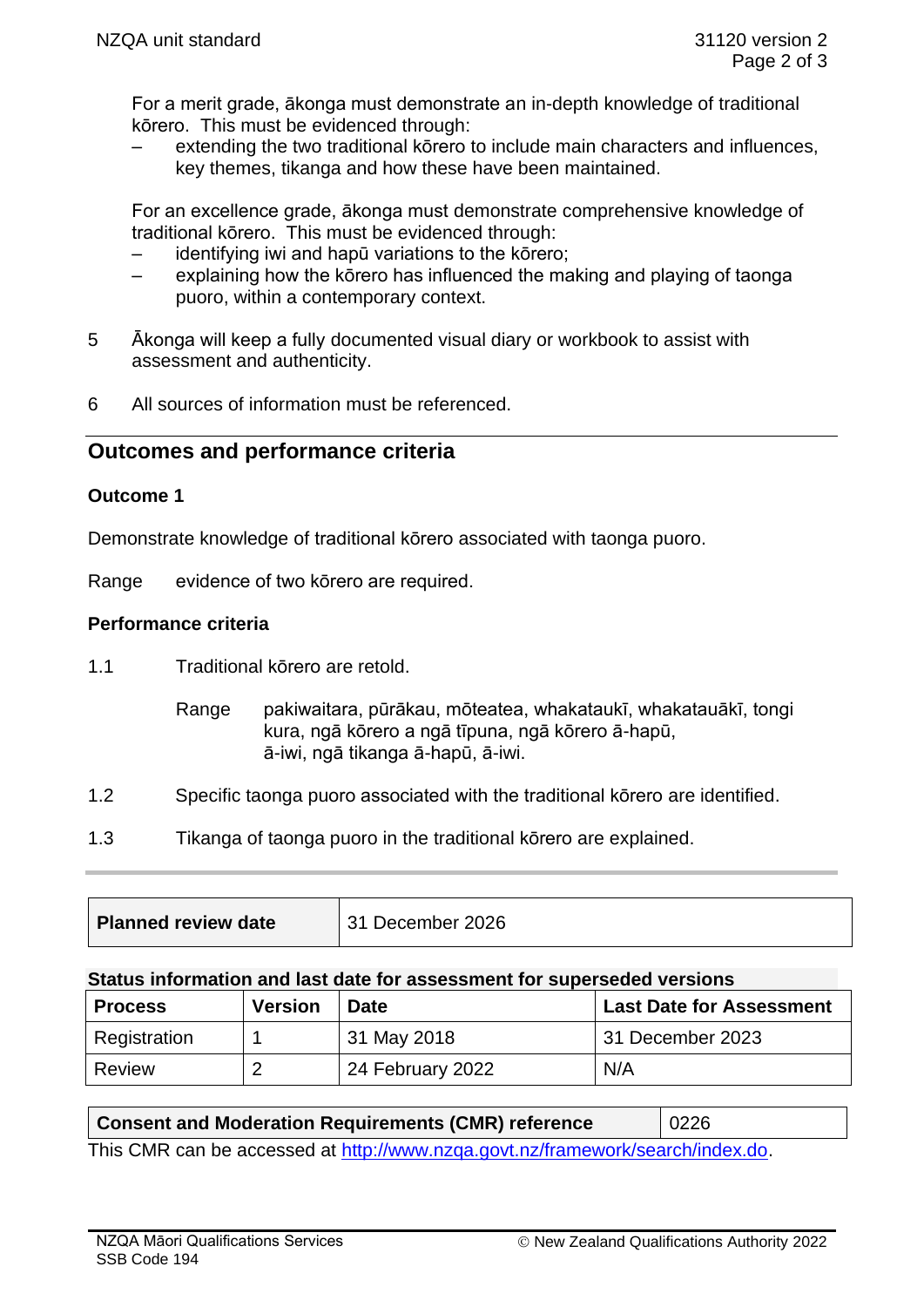For a merit grade, ākonga must demonstrate an in-depth knowledge of traditional kōrero. This must be evidenced through:

– extending the two traditional kōrero to include main characters and influences, key themes, tikanga and how these have been maintained.

For an excellence grade, ākonga must demonstrate comprehensive knowledge of traditional kōrero. This must be evidenced through:

- identifying iwi and hapū variations to the kōrero;
- explaining how the kōrero has influenced the making and playing of taonga puoro, within a contemporary context.
- 5 Ākonga will keep a fully documented visual diary or workbook to assist with assessment and authenticity.
- 6 All sources of information must be referenced.

# **Outcomes and performance criteria**

### **Outcome 1**

Demonstrate knowledge of traditional kōrero associated with taonga puoro.

Range evidence of two kōrero are required.

### **Performance criteria**

- 1.1 Traditional kōrero are retold.
	- Range pakiwaitara, pūrākau, mōteatea, whakataukī, whakatauākī, tongi kura, ngā kōrero a ngā tīpuna, ngā kōrero ā-hapū, ā-iwi, ngā tikanga ā-hapū, ā-iwi.
- 1.2 Specific taonga puoro associated with the traditional kōrero are identified.
- 1.3 Tikanga of taonga puoro in the traditional kōrero are explained.

| Planned review date | 31 December 2026 |
|---------------------|------------------|
|                     |                  |

#### **Status information and last date for assessment for superseded versions**

| <b>Process</b> | <b>Version</b> | <b>Date</b>      | <b>Last Date for Assessment</b> |
|----------------|----------------|------------------|---------------------------------|
| Registration   |                | 31 May 2018      | 31 December 2023                |
| Review         |                | 24 February 2022 | N/A                             |

| <b>Consent and Moderation Requirements (CMR) reference</b>                     | 0226 |  |  |  |
|--------------------------------------------------------------------------------|------|--|--|--|
| This CMR can be accessed at http://www.nzga.govt.nz/framework/search/index.do. |      |  |  |  |